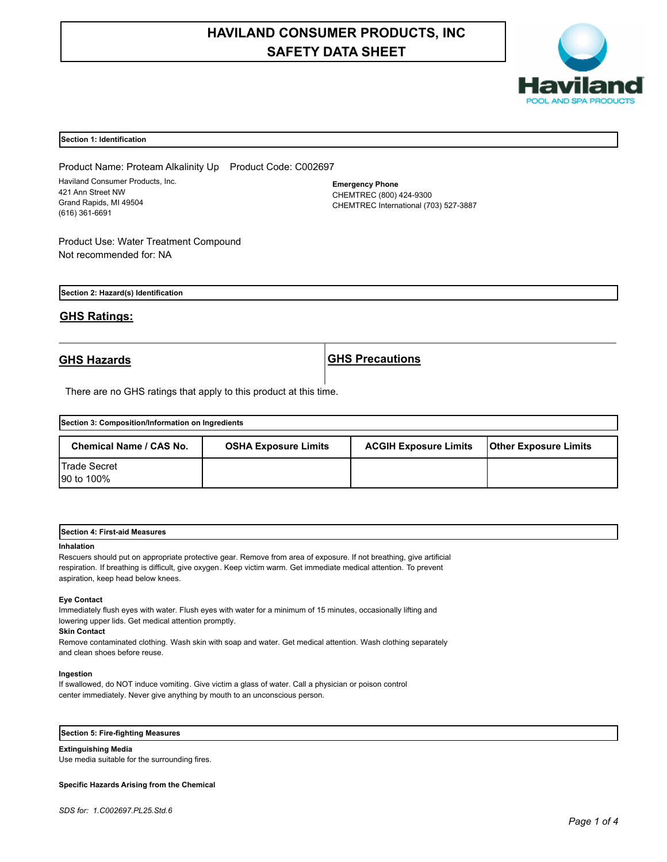# **HAVILAND CONSUMER PRODUCTS, INC SAFETY DATA SHEET**



#### **Section 1: Identification**

Product Name: Proteam Alkalinity Up Product Code: C002697 Haviland Consumer Products, Inc. 421 Ann Street NW Grand Rapids, MI 49504 (616) 361-6691

**Emergency Phone** CHEMTREC (800) 424-9300 CHEMTREC International (703) 527-3887

Product Use: Water Treatment Compound Not recommended for: NA

**Section 2: Hazard(s) Identification**

# **GHS Ratings:**

**GHS Hazards GHS Precautions**

There are no GHS ratings that apply to this product at this time.

| Section 3: Composition/Information on Ingredients |                             |                              |                              |  |
|---------------------------------------------------|-----------------------------|------------------------------|------------------------------|--|
| <b>Chemical Name / CAS No.</b>                    | <b>OSHA Exposure Limits</b> | <b>ACGIH Exposure Limits</b> | <b>Other Exposure Limits</b> |  |
| <b>ITrade Secret</b><br>90 to 100%                |                             |                              |                              |  |

| .<br><b>Section</b><br>rst-aid Measures<br>. Fire*<br>A |  |  |
|---------------------------------------------------------|--|--|
|                                                         |  |  |

#### **Inhalation**

Rescuers should put on appropriate protective gear. Remove from area of exposure. If not breathing, give artificial respiration. If breathing is difficult, give oxygen. Keep victim warm. Get immediate medical attention. To prevent aspiration, keep head below knees.

#### **Eye Contact**

Immediately flush eyes with water. Flush eyes with water for a minimum of 15 minutes, occasionally lifting and lowering upper lids. Get medical attention promptly.

#### **Skin Contact**

Remove contaminated clothing. Wash skin with soap and water. Get medical attention. Wash clothing separately and clean shoes before reuse.

#### **Ingestion**

If swallowed, do NOT induce vomiting. Give victim a glass of water. Call a physician or poison control center immediately. Never give anything by mouth to an unconscious person.

# **Section 5: Fire-fighting Measures**

**Extinguishing Media**

Use media suitable for the surrounding fires.

#### **Specific Hazards Arising from the Chemical**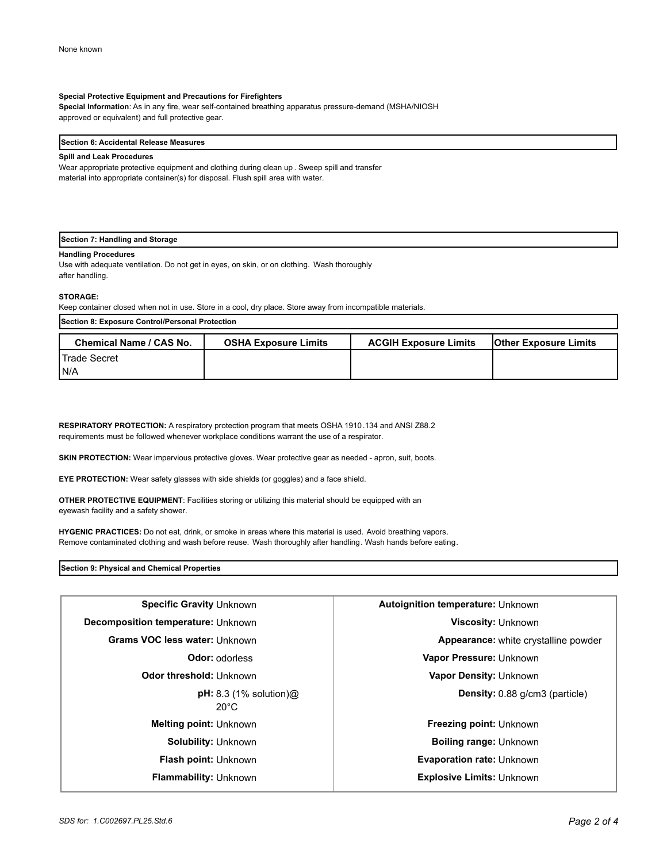### **Special Protective Equipment and Precautions for Firefighters**

**Special Information**: As in any fire, wear self-contained breathing apparatus pressure-demand (MSHA/NIOSH approved or equivalent) and full protective gear.

#### **Section 6: Accidental Release Measures**

#### **Spill and Leak Procedures**

Wear appropriate protective equipment and clothing during clean up . Sweep spill and transfer material into appropriate container(s) for disposal. Flush spill area with water.

### **Section 7: Handling and Storage**

### **Handling Procedures**

Use with adequate ventilation. Do not get in eyes, on skin, or on clothing. Wash thoroughly after handling.

#### **STORAGE:**

Keep container closed when not in use. Store in a cool, dry place. Store away from incompatible materials.

| Section 8: Exposure Control/Personal Protection |                             |                              |                              |
|-------------------------------------------------|-----------------------------|------------------------------|------------------------------|
| <b>Chemical Name / CAS No.</b>                  | <b>OSHA Exposure Limits</b> | <b>ACGIH Exposure Limits</b> | <b>Other Exposure Limits</b> |
| <b>I</b> Trade Secret                           |                             |                              |                              |
| IN/A                                            |                             |                              |                              |

**RESPIRATORY PROTECTION:** A respiratory protection program that meets OSHA 1910.134 and ANSI Z88.2 requirements must be followed whenever workplace conditions warrant the use of a respirator.

**SKIN PROTECTION:** Wear impervious protective gloves. Wear protective gear as needed - apron, suit, boots.

**EYE PROTECTION:** Wear safety glasses with side shields (or goggles) and a face shield.

**OTHER PROTECTIVE EQUIPMENT**: Facilities storing or utilizing this material should be equipped with an eyewash facility and a safety shower.

**HYGENIC PRACTICES:** Do not eat, drink, or smoke in areas where this material is used. Avoid breathing vapors. Remove contaminated clothing and wash before reuse. Wash thoroughly after handling. Wash hands before eating.

**Section 9: Physical and Chemical Properties**

| Specific Gravity Unknown                                                            | <b>Autoignition temperature: Unknown</b> |  |
|-------------------------------------------------------------------------------------|------------------------------------------|--|
| Decomposition temperature: Unknown                                                  | <b>Viscosity: Unknown</b>                |  |
| <b>Grams VOC less water: Unknown</b><br><b>Appearance:</b> white crystalline powder |                                          |  |
| <b>Odor:</b> odorless                                                               | Vapor Pressure: Unknown                  |  |
| Odor threshold: Unknown                                                             | Vapor Density: Unknown                   |  |
| $pH: 8.3$ (1% solution) $@$<br>$20^{\circ}$ C                                       | <b>Density:</b> 0.88 g/cm3 (particle)    |  |
| <b>Melting point: Unknown</b>                                                       | Freezing point: Unknown                  |  |
| <b>Solubility: Unknown</b>                                                          | <b>Boiling range: Unknown</b>            |  |
| <b>Flash point: Unknown</b>                                                         | <b>Evaporation rate: Unknown</b>         |  |
| Flammability: Unknown                                                               | <b>Explosive Limits: Unknown</b>         |  |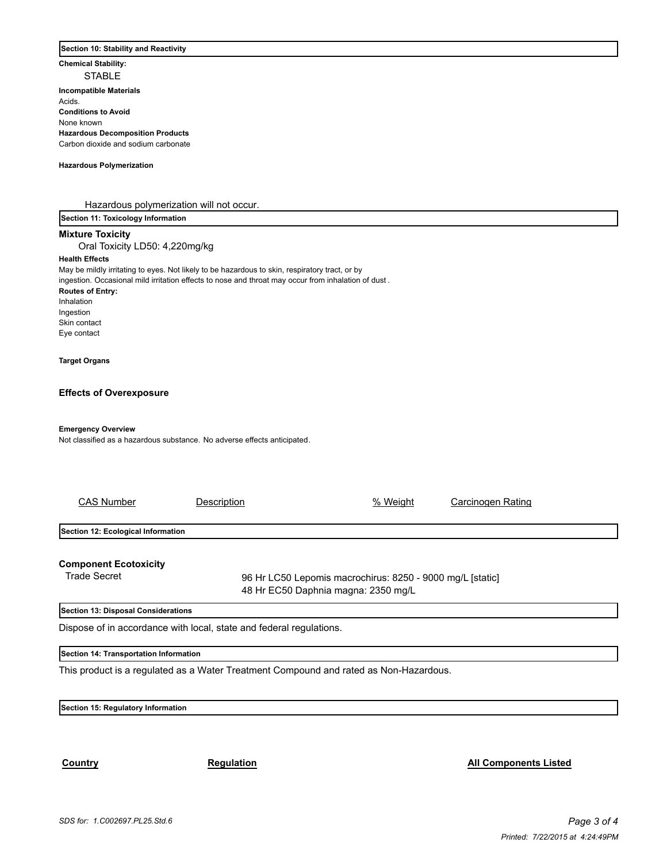#### **Section 10: Stability and Reactivity**

**Chemical Stability:**

STABLE **Incompatible Materials**  Acids. **Conditions to Avoid** None known **Hazardous Decomposition Products** Carbon dioxide and sodium carbonate

#### **Hazardous Polymerization**

Hazardous polymerization will not occur.

**Section 11: Toxicology Information**

# **Mixture Toxicity**

Oral Toxicity LD50: 4,220mg/kg

### **Health Effects**

May be mildly irritating to eyes. Not likely to be hazardous to skin, respiratory tract, or by ingestion. Occasional mild irritation effects to nose and throat may occur from inhalation of dust .

# **Routes of Entry:**

Inhalation Ingestion Skin contact Eye contact

#### **Target Organs**

#### **Effects of Overexposure**

# **Emergency Overview**

Not classified as a hazardous substance. No adverse effects anticipated.

| <b>CAS Number</b>                                   | Description | % Weight                                                                                         | Carcinogen Rating |  |
|-----------------------------------------------------|-------------|--------------------------------------------------------------------------------------------------|-------------------|--|
| Section 12: Ecological Information                  |             |                                                                                                  |                   |  |
| <b>Component Ecotoxicity</b><br><b>Trade Secret</b> |             | 96 Hr LC50 Lepomis macrochirus: 8250 - 9000 mg/L [static]<br>48 Hr EC50 Daphnia magna: 2350 mg/L |                   |  |
| Section 13: Disposal Considerations                 |             |                                                                                                  |                   |  |

Dispose of in accordance with local, state and federal regulations.

### **Section 14: Transportation Information**

This product is a regulated as a Water Treatment Compound and rated as Non-Hazardous.

# **Section 15: Regulatory Information**

**Country Country Regulation Regulation Regulation Regulation Regulation Regulation**